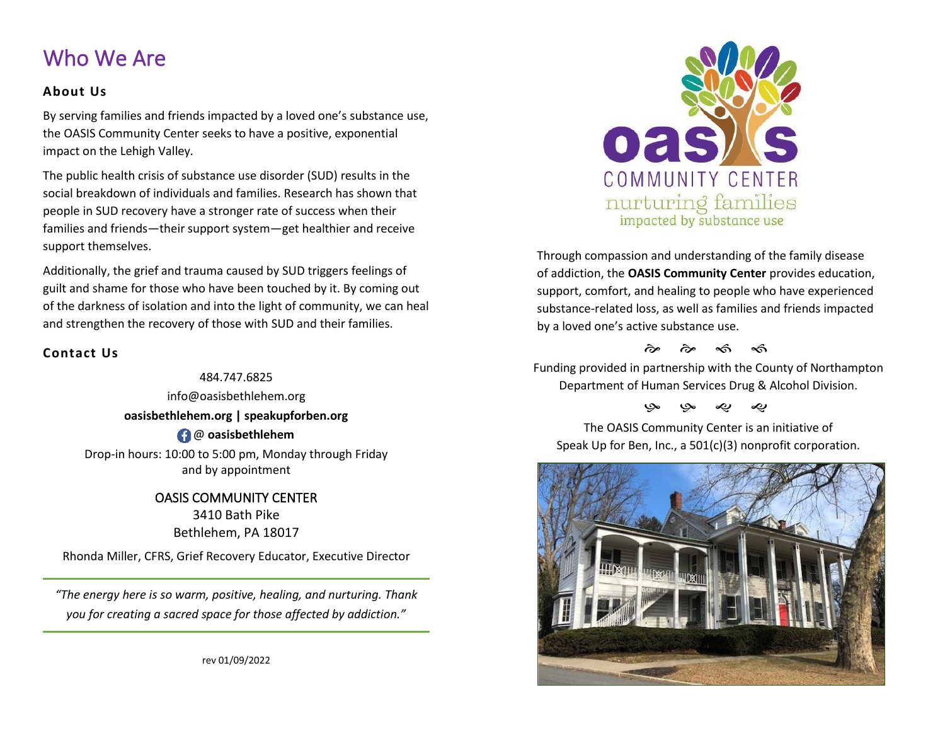## Who We Are

#### **About Us**

By serving families and friends impacted by a loved one's substance use, the OASIS Community Center seeks to have a positive, exponential impact on the Lehigh Valley*.*

The public health crisis of substance use disorder (SUD) results in the social breakdown of individuals and families. Research has shown that people in SUD recovery have a stronger rate of success when their families and friends—their support system—get healthier and receive support themselves.

Additionally, the grief and trauma caused by SUD triggers feelings of guilt and shame for those who have been touched by it. By coming out of the darkness of isolation and into the light of community, we can heal and strengthen the recovery of those with SUD and their families.

### **Contact Us**

484.747.6825 info@oasisbethlehem.org **oasisbethlehem.org | speakupforben.org**  @ **oasisbethlehem** Drop-in hours: 10:00 to 5:00 pm, Monday through Friday and by appointment

> OASIS COMMUNITY CENTER 3410 Bath Pike Bethlehem, PA 18017

Rhonda Miller, CFRS, Grief Recovery Educator, Executive Director

*"The energy here is so warm, positive, healing, and nurturing. Thank you for creating a sacred space for those affected by addiction."*



Through compassion and understanding of the family disease of addiction, the **OASIS Community Center** provides education, support, comfort, and healing to people who have experienced substance-related loss, as well as families and friends impacted by a loved one's active substance use.

 $\hat{\sigma}$   $\hat{\sigma}$   $\hat{\sigma}$   $\hat{\sigma}$ 

Funding provided in partnership with the County of Northampton Department of Human Services Drug & Alcohol Division.

### به به ی ی

The OASIS Community Center is an initiative of Speak Up for Ben, Inc., a 501(c)(3) nonprofit corporation.



rev 01/09/2022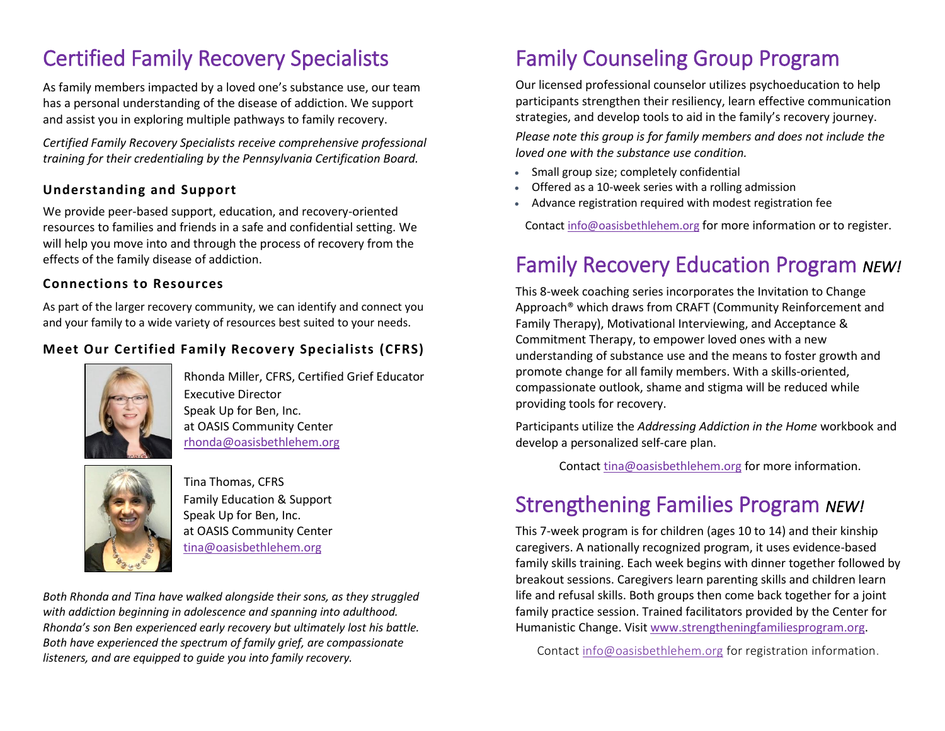# Certified Family Recovery Specialists

As family members impacted by a loved one's substance use, our team has a personal understanding of the disease of addiction. We support and assist you in exploring multiple pathways to family recovery.

*Certified Family Recovery Specialists receive comprehensive professional training for their credentialing by the Pennsylvania Certification Board.* 

### **Understanding and Support**

We provide peer-based support, education, and recovery-oriented resources to families and friends in a safe and confidential setting. We will help you move into and through the process of recovery from the effects of the family disease of addiction.

#### **Connections to Resources**

As part of the larger recovery community, we can identify and connect you and your family to a wide variety of resources best suited to your needs.

### **Meet Our Certified Family Recovery Specialists (CFRS)**



Rhonda Miller, CFRS, Certified Grief Educator Executive Director Speak Up for Ben, Inc. at OASIS Community Center [rhonda@oasisbethlehem.org](mailto:rhonda@oasisbethlehem.org) 



Tina Thomas, CFRS Family Education & Support Speak Up for Ben, Inc. at OASIS Community Center [tina@oasisbethlehem.org](mailto:tina@oasisbethlehem.org)

*Both Rhonda and Tina have walked alongside their sons, as they struggled with addiction beginning in adolescence and spanning into adulthood. Rhonda's son Ben experienced early recovery but ultimately lost his battle. Both have experienced the spectrum of family grief, are compassionate listeners, and are equipped to guide you into family recovery.*

# Family Counseling Group Program

Our licensed professional counselor utilizes psychoeducation to help participants strengthen their resiliency, learn effective communication strategies, and develop tools to aid in the family's recovery journey. *Please note this group is for family members and does not include the loved one with the substance use condition.* 

- Small group size; completely confidential
- Offered as a 10-week series with a rolling admission
- Advance registration required with modest registration fee

Contac[t info@oasisbethlehem.org](mailto:info@oasisbethlehem.org) for more information or to register.

# Family Recovery Education Program *NEW!*

This 8-week coaching series incorporates the Invitation to Change Approach® which draws from CRAFT (Community Reinforcement and Family Therapy), Motivational Interviewing, and Acceptance & Commitment Therapy, to empower loved ones with a new understanding of substance use and the means to foster growth and promote change for all family members. With a skills-oriented, compassionate outlook, shame and stigma will be reduced while providing tools for recovery.

Participants utilize the *Addressing Addiction in the Home* workbook and develop a personalized self-care plan.

Contact [tina@oasisbethlehem.org](mailto:tina@oasisbethlehem.org) for more information.

## Strengthening Families Program *NEW!*

This 7-week program is for children (ages 10 to 14) and their kinship caregivers. A nationally recognized program, it uses evidence-based family skills training. Each week begins with dinner together followed by breakout sessions. Caregivers learn parenting skills and children learn life and refusal skills. Both groups then come back together for a joint family practice session. Trained facilitators provided by the Center for Humanistic Change. Visit [www.strengtheningfamiliesprogram.org.](http://www.strengtheningfamiliesprogram.org/)

Contact [info@oasisbethlehem.org](mailto:info@oasisbethlehem.org) for registration information.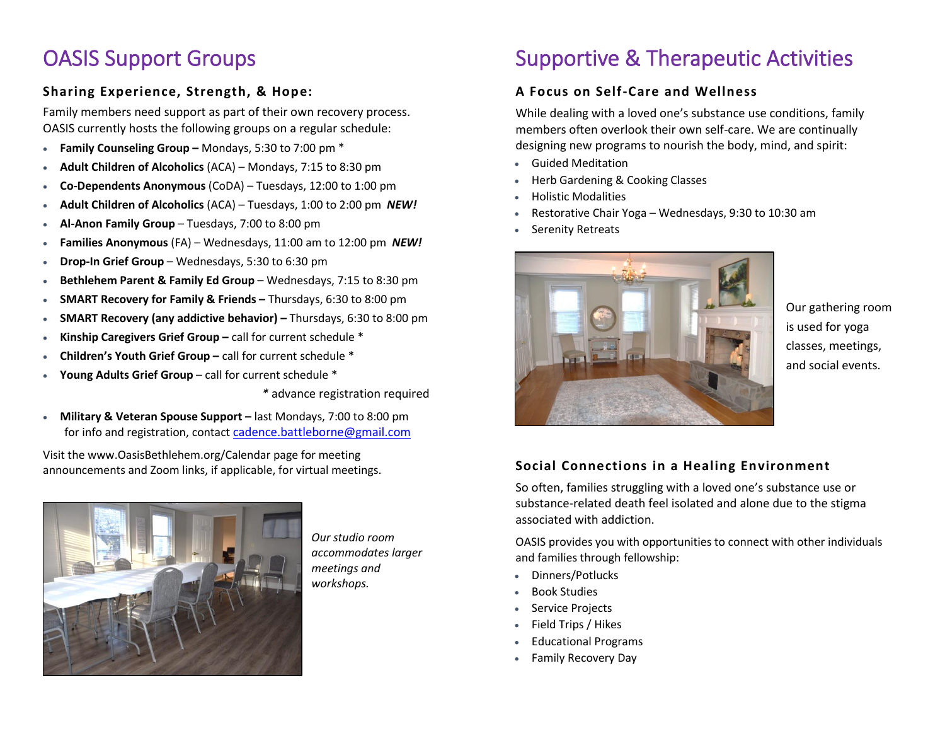## OASIS Support Groups

### **Sharing Experience, Strength, & Hope:**

Family members need support as part of their own recovery process. OASIS currently hosts the following groups on a regular schedule:

- **Family Counseling Group –** Mondays, 5:30 to 7:00 pm \*
- **Adult Children of Alcoholics** (ACA) Mondays, 7:15 to 8:30 pm
- **Co-Dependents Anonymous** (CoDA) Tuesdays, 12:00 to 1:00 pm
- **Adult Children of Alcoholics** (ACA) Tuesdays, 1:00 to 2:00 pm *NEW!*
- **Al-Anon Family Group** Tuesdays, 7:00 to 8:00 pm
- **Families Anonymous** (FA) Wednesdays, 11:00 am to 12:00 pm *NEW!*
- **Drop-In Grief Group**  Wednesdays, 5:30 to 6:30 pm
- **Bethlehem Parent & Family Ed Group** Wednesdays, 7:15 to 8:30 pm
- **SMART Recovery for Family & Friends –** Thursdays, 6:30 to 8:00 pm
- **SMART Recovery (any addictive behavior) –** Thursdays, 6:30 to 8:00 pm
- **Kinship Caregivers Grief Group –** call for current schedule \*
- **Children's Youth Grief Group –** call for current schedule \*
- **Young Adults Grief Group** call for current schedule \*

*\** advance registration required

• Military & Veteran Spouse Support – last Mondays, 7:00 to 8:00 pm for info and registration, contact [cadence.battleborne@gmail.com](mailto:cadence.battleborne@gmail.com)

Visit the www.OasisBethlehem.org/Calendar page for meeting announcements and Zoom links, if applicable, for virtual meetings.



*Our studio room accommodates larger meetings and workshops.*

# Supportive & Therapeutic Activities

### **A Focus on Self-Care and Wellness**

While dealing with a loved one's substance use conditions, family members often overlook their own self-care. We are continually designing new programs to nourish the body, mind, and spirit:

- Guided Meditation
- Herb Gardening & Cooking Classes
- Holistic Modalities
- Restorative Chair Yoga Wednesdays, 9:30 to 10:30 am
- Serenity Retreats



Our gathering room is used for yoga classes, meetings, and social events.

### **Social Connections in a Healing Environment**

So often, families struggling with a loved one's substance use or substance-related death feel isolated and alone due to the stigma associated with addiction.

OASIS provides you with opportunities to connect with other individuals and families through fellowship:

- Dinners/Potlucks
- Book Studies
- Service Projects
- Field Trips / Hikes
- Educational Programs
- Family Recovery Day